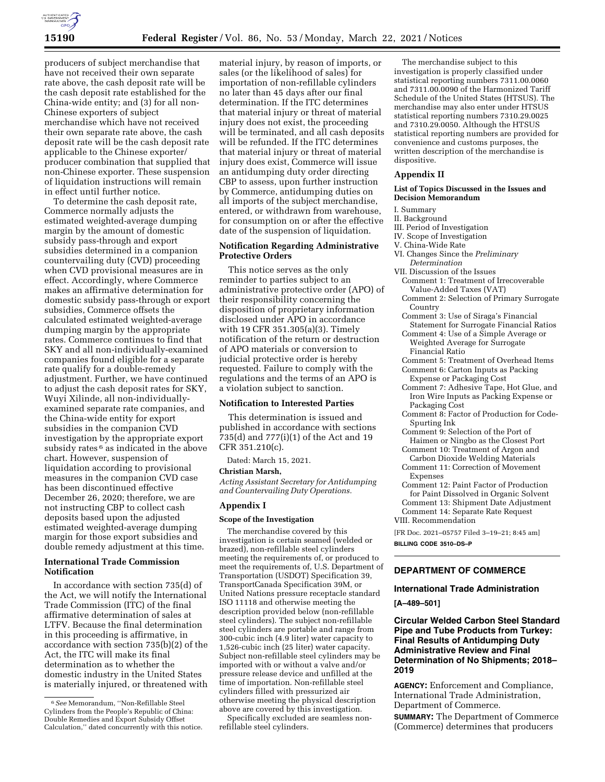

producers of subject merchandise that have not received their own separate rate above, the cash deposit rate will be the cash deposit rate established for the China-wide entity; and (3) for all non-Chinese exporters of subject merchandise which have not received their own separate rate above, the cash deposit rate will be the cash deposit rate applicable to the Chinese exporter/ producer combination that supplied that non-Chinese exporter. These suspension of liquidation instructions will remain in effect until further notice.

To determine the cash deposit rate, Commerce normally adjusts the estimated weighted-average dumping margin by the amount of domestic subsidy pass-through and export subsidies determined in a companion countervailing duty (CVD) proceeding when CVD provisional measures are in effect. Accordingly, where Commerce makes an affirmative determination for domestic subsidy pass-through or export subsidies, Commerce offsets the calculated estimated weighted-average dumping margin by the appropriate rates. Commerce continues to find that SKY and all non-individually-examined companies found eligible for a separate rate qualify for a double-remedy adjustment. Further, we have continued to adjust the cash deposit rates for SKY, Wuyi Xilinde, all non-individuallyexamined separate rate companies, and the China-wide entity for export subsidies in the companion CVD investigation by the appropriate export subsidy rates <sup>6</sup> as indicated in the above chart. However, suspension of liquidation according to provisional measures in the companion CVD case has been discontinued effective December 26, 2020; therefore, we are not instructing CBP to collect cash deposits based upon the adjusted estimated weighted-average dumping margin for those export subsidies and double remedy adjustment at this time.

## **International Trade Commission Notification**

In accordance with section 735(d) of the Act, we will notify the International Trade Commission (ITC) of the final affirmative determination of sales at LTFV. Because the final determination in this proceeding is affirmative, in accordance with section 735(b)(2) of the Act, the ITC will make its final determination as to whether the domestic industry in the United States is materially injured, or threatened with

material injury, by reason of imports, or sales (or the likelihood of sales) for importation of non-refillable cylinders no later than 45 days after our final determination. If the ITC determines that material injury or threat of material injury does not exist, the proceeding will be terminated, and all cash deposits will be refunded. If the ITC determines that material injury or threat of material injury does exist, Commerce will issue an antidumping duty order directing CBP to assess, upon further instruction by Commerce, antidumping duties on all imports of the subject merchandise, entered, or withdrawn from warehouse, for consumption on or after the effective date of the suspension of liquidation.

## **Notification Regarding Administrative Protective Orders**

This notice serves as the only reminder to parties subject to an administrative protective order (APO) of their responsibility concerning the disposition of proprietary information disclosed under APO in accordance with 19 CFR 351.305(a)(3). Timely notification of the return or destruction of APO materials or conversion to judicial protective order is hereby requested. Failure to comply with the regulations and the terms of an APO is a violation subject to sanction.

## **Notification to Interested Parties**

This determination is issued and published in accordance with sections 735(d) and 777(i)(1) of the Act and 19 CFR 351.210(c).

Dated: March 15, 2021.

## **Christian Marsh,**

*Acting Assistant Secretary for Antidumping and Countervailing Duty Operations.* 

## **Appendix I**

#### **Scope of the Investigation**

The merchandise covered by this investigation is certain seamed (welded or brazed), non-refillable steel cylinders meeting the requirements of, or produced to meet the requirements of, U.S. Department of Transportation (USDOT) Specification 39, TransportCanada Specification 39M, or United Nations pressure receptacle standard ISO 11118 and otherwise meeting the description provided below (non-refillable steel cylinders). The subject non-refillable steel cylinders are portable and range from 300-cubic inch (4.9 liter) water capacity to 1,526-cubic inch (25 liter) water capacity. Subject non-refillable steel cylinders may be imported with or without a valve and/or pressure release device and unfilled at the time of importation. Non-refillable steel cylinders filled with pressurized air otherwise meeting the physical description above are covered by this investigation.

Specifically excluded are seamless nonrefillable steel cylinders.

The merchandise subject to this investigation is properly classified under statistical reporting numbers 7311.00.0060 and 7311.00.0090 of the Harmonized Tariff Schedule of the United States (HTSUS). The merchandise may also enter under HTSUS statistical reporting numbers 7310.29.0025 and 7310.29.0050. Although the HTSUS statistical reporting numbers are provided for convenience and customs purposes, the written description of the merchandise is dispositive.

## **Appendix II**

#### **List of Topics Discussed in the Issues and Decision Memorandum**

#### I. Summary

- II. Background
- III. Period of Investigation
- IV. Scope of Investigation

# V. China-Wide Rate

- VI. Changes Since the *Preliminary Determination*
- VII. Discussion of the Issues Comment 1: Treatment of Irrecoverable Value-Added Taxes (VAT)
- Comment 2: Selection of Primary Surrogate Country
- Comment 3: Use of Siraga's Financial Statement for Surrogate Financial Ratios
- Comment 4: Use of a Simple Average or Weighted Average for Surrogate Financial Ratio
- Comment 5: Treatment of Overhead Items
- Comment 6: Carton Inputs as Packing Expense or Packaging Cost
- Comment 7: Adhesive Tape, Hot Glue, and Iron Wire Inputs as Packing Expense or Packaging Cost
- Comment 8: Factor of Production for Code-Spurting Ink
- Comment 9: Selection of the Port of Haimen or Ningbo as the Closest Port
- Comment 10: Treatment of Argon and Carbon Dioxide Welding Materials
- Comment 11: Correction of Movement Expenses
- Comment 12: Paint Factor of Production for Paint Dissolved in Organic Solvent Comment 13: Shipment Date Adjustment
- Comment 14: Separate Rate Request VIII. Recommendation

[FR Doc. 2021–05757 Filed 3–19–21; 8:45 am] **BILLING CODE 3510–DS–P** 

# **DEPARTMENT OF COMMERCE**

#### **International Trade Administration**

#### **[A–489–501]**

# **Circular Welded Carbon Steel Standard Pipe and Tube Products from Turkey: Final Results of Antidumping Duty Administrative Review and Final Determination of No Shipments; 2018– 2019**

**AGENCY:** Enforcement and Compliance, International Trade Administration, Department of Commerce.

**SUMMARY:** The Department of Commerce (Commerce) determines that producers

<sup>6</sup>*See* Memorandum, ''Non-Refillable Steel Cylinders from the People's Republic of China: Double Remedies and Export Subsidy Offset Calculation,'' dated concurrently with this notice.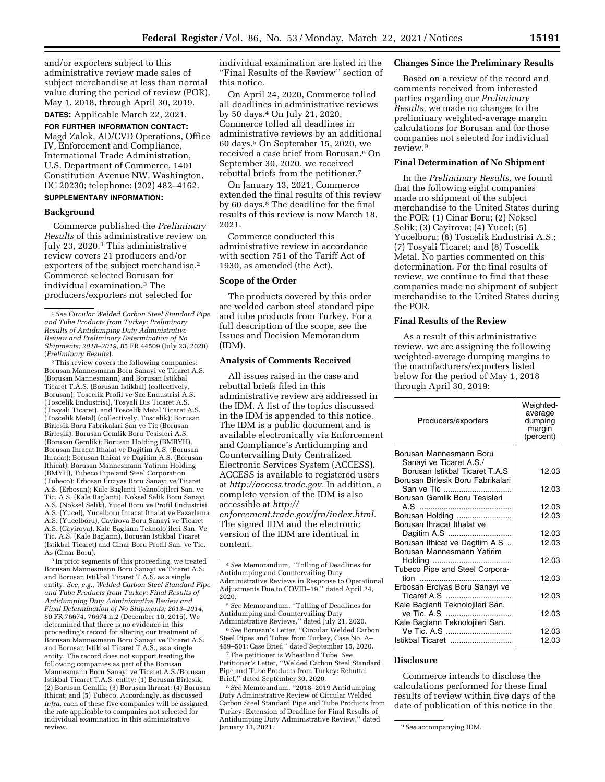and/or exporters subject to this administrative review made sales of subject merchandise at less than normal value during the period of review (POR), May 1, 2018, through April 30, 2019. **DATES:** Applicable March 22, 2021.

**FOR FURTHER INFORMATION CONTACT:**  Magd Zalok, AD/CVD Operations, Office IV, Enforcement and Compliance, International Trade Administration, U.S. Department of Commerce, 1401 Constitution Avenue NW, Washington, DC 20230; telephone: (202) 482–4162.

# **SUPPLEMENTARY INFORMATION:**

## **Background**

Commerce published the *Preliminary Results* of this administrative review on July 23, 2020.1 This administrative review covers 21 producers and/or exporters of the subject merchandise.2 Commerce selected Borusan for individual examination.3 The producers/exporters not selected for

2This review covers the following companies: Borusan Mannesmann Boru Sanayi ve Ticaret A.S. (Borusan Mannesmann) and Borusan Istikbal Ticaret T.A.S. (Borusan Istikbal) (collectively, Borusan); Toscelik Profil ve Sac Endustrisi A.S. (Toscelik Endustrisi), Tosyali Dis Ticaret A.S. (Tosyali Ticaret), and Toscelik Metal Ticaret A.S. (Toscelik Metal) (collectively, Toscelik); Borusan Birlesik Boru Fabrikalari San ve Tic (Borusan Birlesik); Borusan Gemlik Boru Tesisleri A.S. (Borusan Gemlik); Borusan Holding (BMBYH), Borusan Ihracat Ithalat ve Dagitim A.S. (Borusan Ihracat); Borusan Ithicat ve Dagitim A.S. (Borusan Ithicat); Borusan Mannesmann Yatirim Holding (BMYH), Tubeco Pipe and Steel Corporation (Tubeco); Erbosan Erciyas Boru Sanayi ve Ticaret A.S. (Erbosan); Kale Baglanti Teknolojileri San. ve Tic. A.S. (Kale Baglanti), Noksel Selik Boru Sanayi A.S. (Noksel Selik), Yucel Boru ve Profil Endustrisi A.S. (Yucel), Yucelboru Ihracat Ithalat ve Pazarlama A.S. (Yucelboru), Cayirova Boru Sanayi ve Ticaret A.S. (Cayirova), Kale Baglann Teknolojileri San. Ve Tic. A.S. (Kale Baglann), Borusan Istikbal Ticaret (Istikbal Ticaret) and Cinar Boru Profil San. ve Tic. As (Cinar Boru).

3 In prior segments of this proceeding, we treated Borusan Mannesmann Boru Sanayi ve Ticaret A.S. and Borusan Istikbal Ticaret T.A.S. as a single entity. *See, e.g., Welded Carbon Steel Standard Pipe and Tube Products from Turkey: Final Results of Antidumping Duty Administrative Review and Final Determination of No Shipments; 2013–2014,*  80 FR 76674, 76674 n.2 (December 10, 2015). We determined that there is no evidence in this proceeding's record for altering our treatment of Borusan Mannesmann Boru Sanayi ve Ticaret A.S. and Borusan Istikbal Ticaret T.A.S., as a single entity. The record does not support treating the following companies as part of the Borusan Mannesmann Boru Sanayi ve Ticaret A.S./Borusan Istikbal Ticaret T.A.S. entity: (1) Borusan Birlesik; (2) Borusan Gemlik; (3) Borusan Ihracat; (4) Borusan Ithicat; and (5) Tubeco. Accordingly, as discussed *infra,* each of these five companies will be assigned the rate applicable to companies not selected for individual examination in this administrative review.

individual examination are listed in the ''Final Results of the Review'' section of this notice.

On April 24, 2020, Commerce tolled all deadlines in administrative reviews by 50 days.4 On July 21, 2020, Commerce tolled all deadlines in administrative reviews by an additional 60 days.5 On September 15, 2020, we received a case brief from Borusan.6 On September 30, 2020, we received rebuttal briefs from the petitioner.7

On January 13, 2021, Commerce extended the final results of this review by 60 days.8 The deadline for the final results of this review is now March 18, 2021.

Commerce conducted this administrative review in accordance with section 751 of the Tariff Act of 1930, as amended (the Act).

#### **Scope of the Order**

The products covered by this order are welded carbon steel standard pipe and tube products from Turkey. For a full description of the scope, see the Issues and Decision Memorandum (IDM).

#### **Analysis of Comments Received**

All issues raised in the case and rebuttal briefs filed in this administrative review are addressed in the IDM. A list of the topics discussed in the IDM is appended to this notice. The IDM is a public document and is available electronically via Enforcement and Compliance's Antidumping and Countervailing Duty Centralized Electronic Services System (ACCESS). ACCESS is available to registered users at *[http://access.trade.gov.](http://access.trade.gov)* In addition, a complete version of the IDM is also accessible at *[http://](http://enforcement.trade.gov/frn/index.html) [enforcement.trade.gov/frn/index.html.](http://enforcement.trade.gov/frn/index.html)* 

The signed IDM and the electronic version of the IDM are identical in content.

6*See* Borusan's Letter, ''Circular Welded Carbon Steel Pipes and Tubes from Turkey, Case No. A– 489–501: Case Brief,'' dated September 15, 2020.

7The petitioner is Wheatland Tube. *See*  Petitioner's Letter, ''Welded Carbon Steel Standard Pipe and Tube Products from Turkey: Rebuttal Brief,'' dated September 30, 2020.

8*See* Memorandum, ''2018–2019 Antidumping Duty Administrative Review of Circular Welded Carbon Steel Standard Pipe and Tube Products from Turkey: Extension of Deadline for Final Results of Antidumping Duty Administrative Review,'' dated

#### **Changes Since the Preliminary Results**

Based on a review of the record and comments received from interested parties regarding our *Preliminary Results,* we made no changes to the preliminary weighted-average margin calculations for Borusan and for those companies not selected for individual review.9

#### **Final Determination of No Shipment**

In the *Preliminary Results,* we found that the following eight companies made no shipment of the subject merchandise to the United States during the POR: (1) Cinar Boru; (2) Noksel Selik; (3) Cayirova; (4) Yucel; (5) Yucelboru; (6) Toscelik Endustrisi A.S.; (7) Tosyali Ticaret; and (8) Toscelik Metal. No parties commented on this determination. For the final results of review, we continue to find that these companies made no shipment of subject merchandise to the United States during the POR.

# **Final Results of the Review**

As a result of this administrative review, we are assigning the following weighted-average dumping margins to the manufacturers/exporters listed below for the period of May 1, 2018 through April 30, 2019:

| Producers/exporters                                                 | Weighted-<br>average<br>dumping<br>margin<br>(percent) |
|---------------------------------------------------------------------|--------------------------------------------------------|
| Borusan Mannesmann Boru<br>Sanayi ve Ticaret A.S./                  |                                                        |
| Borusan Istikbal Ticaret T.A.S<br>Borusan Birlesik Boru Fabrikalari | 12.03                                                  |
| San ve Tic<br>Borusan Gemlik Boru Tesisleri                         | 12.03                                                  |
|                                                                     | 12.03                                                  |
| Borusan Holding<br>Borusan Ihracat Ithalat ve                       | 12.03                                                  |
|                                                                     | 12.03                                                  |
| Borusan Ithicat ve Dagitim A.S                                      | 12.03                                                  |
| Borusan Mannesmann Yatirim                                          |                                                        |
|                                                                     | 12.03                                                  |
| Tubeco Pipe and Steel Corpora-                                      | 12.03                                                  |
| Erbosan Erciyas Boru Sanayi ve                                      |                                                        |
| Ticaret A.S                                                         | 12.03                                                  |
| Kale Baglanti Teknolojileri San.                                    |                                                        |
| ve Tic. A.S                                                         | 12.03                                                  |
| Kale Baglann Teknolojileri San.                                     |                                                        |
| Ve Tic. A.S                                                         | 12.03                                                  |
| Istikbal Ticaret                                                    | 12.03                                                  |

#### **Disclosure**

Commerce intends to disclose the calculations performed for these final results of review within five days of the date of publication of this notice in the

<sup>1</sup>*See Circular Welded Carbon Steel Standard Pipe and Tube Products from Turkey: Preliminary Results of Antidumping Duty Administrative Review and Preliminary Determination of No Shipments; 2018–2019,* 85 FR 44509 (July 23, 2020) (*Preliminary Results*).

<sup>4</sup>*See* Memorandum, ''Tolling of Deadlines for Antidumping and Countervailing Duty Administrative Reviews in Response to Operational Adjustments Due to COVID–19,'' dated April 24, 2020.

<sup>5</sup>*See* Memorandum, ''Tolling of Deadlines for Antidumping and Countervailing Duty Administrative Reviews,'' dated July 21, 2020.

<sup>&</sup>lt;sup>9</sup> See accompanying IDM.